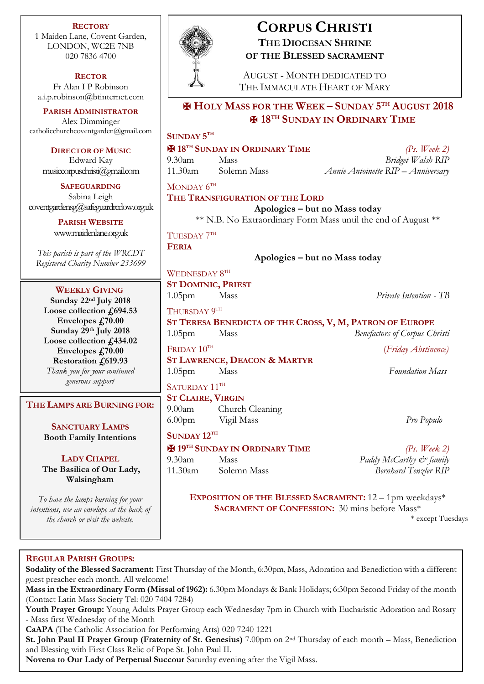**RECTORY** 1 Maiden Lane, Covent Garden, LONDON, WC2E 7NB 020 7836 4700

**RECTOR** Fr Alan I P Robinson [a.i.p.robinson@btinternet.com](mailto:a.i.p.robinson@btinternet.com)

**PARISH ADMINISTRATOR** Alex Dimminger [catholicchurchcoventgarden@gmail.com](mailto:catholicchurchcoventgarden@gmail.com)

**DIRECTOR OF MUSIC** Edward Kay musiccorpuschristi@gmail.com

**SAFEGUARDING** Sabina Leigh [coventgardensg@safeguardrcdow.org.uk](mailto:coventgardensg@safeguardrcdow.org.uk)

> **PARISH WEBSITE** [www.maidenlane.org.uk](http://www.maidenlane.org.uk/)

*This parish is part of the WRCDT Registered Charity Number 233699*

**WEEKLY GIVING**

**Sunday 22nd July 2018 Loose collection £694.53 Envelopes £70.00 Sunday 29th July 2018 Loose collection £434.02 Envelopes £70.00 Restoration £619.93** *Thank you for your continued*

*generous support*

**THE LAMPS ARE BURNING FOR:**

**SANCTUARY LAMPS Booth Family Intentions**

**LADY CHAPEL**

**The Basilica of Our Lady, Walsingham**

*To have the lamps burning for your intentions, use an envelope at the back of the church or visit the website.*



# **CORPUS CHRISTI THE DIOCESAN SHRINE OF THE BLESSED SACRAMENT**

AUGUST - MONTH DEDICATED TO THE IMMACULATE HEART OF MARY

# ✠ **HOLY MASS FOR THE WEEK – SUNDAY 5 TH AUGUST 2018** ✠ **18TH SUNDAY IN ORDINARY TIME**

## **SUNDAY 5 TH**

✠ **18TH SUNDAY IN ORDINARY TIME** *(Ps. Week 2)* 9.30am Mass *Bridget Walsh RIP* 11.30am Solemn Mass *Annie Antoinette RIP – Anniversary* MONDAY  $6^{TH}$ **THE TRANSFIGURATION OF THE LORD Apologies – but no Mass today** \*\* N.B. No Extraordinary Form Mass until the end of August \*\* TUESDAY  $7^{\text{\tiny{TH}}}$ **FERIA Apologies – but no Mass today** WEDNESDAY  $8^{\text{\tiny{TH}}}$ **ST DOMINIC, PRIEST** 1.05pm Mass *Private Intention - TB* Thursday  $9^{\text{\tiny{TH}}}$ 

**ST TERESA BENEDICTA OF THE CROSS, V, M, PATRON OF EUROPE** 1.05pm Mass *Benefactors of Corpus Christi*

 $F$ RIDAY  $10^{TH}$ **ST LAWRENCE, DEACON & MARTYR** 1.05pm Mass *Foundation Mass*

# SATURDAY 11TH

**ST CLAIRE, VIRGIN** 9.00am Church Cleaning 6.00pm Vigil Mass *Pro Populo*

**SUNDAY 12TH**

✠ **19TH SUNDAY IN ORDINARY TIME** *(Ps. Week 2)* 9.30am Mass *Paddy McCarthy & family* 11.30am Solemn Mass *Bernhard Tenzler RIP*

(*Friday Abstinence)*

**EXPOSITION OF THE BLESSED SACRAMENT:** 12 – 1pm weekdays\* **SACRAMENT OF CONFESSION:** 30 mins before Mass\*

\* except Tuesdays

## **REGULAR PARISH GROUPS:**

**Sodality of the Blessed Sacrament:** First Thursday of the Month, 6:30pm, Mass, Adoration and Benediction with a different guest preacher each month. All welcome!

**Mass in the Extraordinary Form (Missal of 1962):** 6.30pm Mondays & Bank Holidays; 6:30pm Second Friday of the month (Contact Latin Mass Society Tel: 020 7404 7284)

**Youth Prayer Group:** Young Adults Prayer Group each Wednesday 7pm in Church with Eucharistic Adoration and Rosary - Mass first Wednesday of the Month

**CaAPA** (The Catholic Association for Performing Arts) 020 7240 1221

**St. John Paul II Prayer Group (Fraternity of St. Genesius)** 7.00pm on 2nd Thursday of each month – Mass, Benediction and Blessing with First Class Relic of Pope St. John Paul II.

**Novena to Our Lady of Perpetual Succour** Saturday evening after the Vigil Mass.